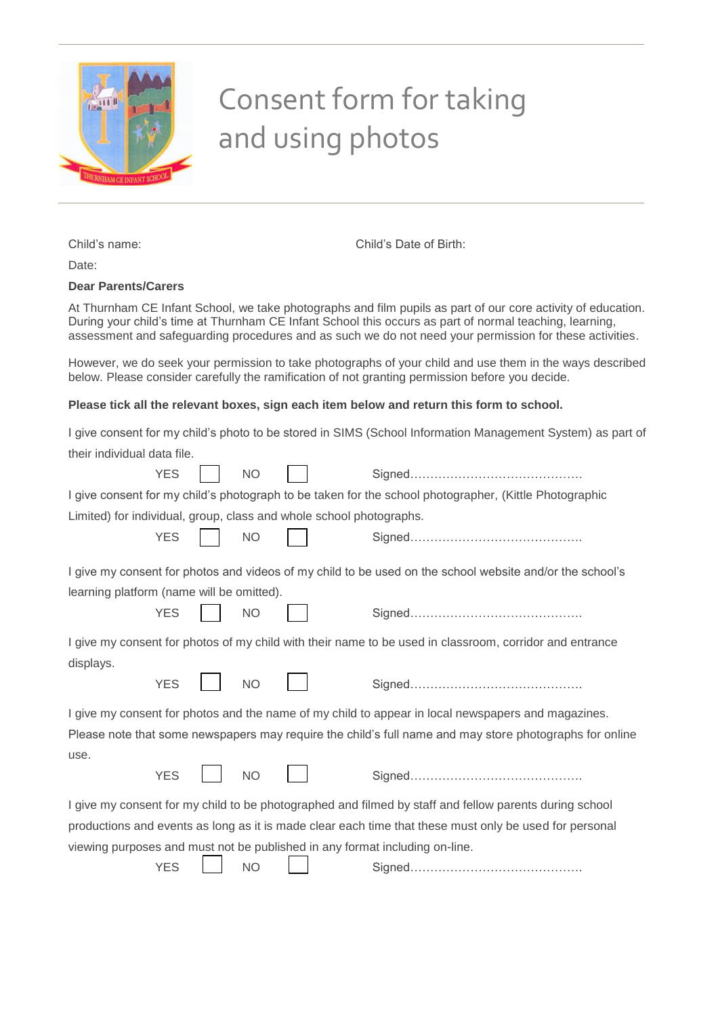

## Consent form for taking and using photos

Child's name: Child's Date of Birth:

Date:

## **Dear Parents/Carers**

At Thurnham CE Infant School, we take photographs and film pupils as part of our core activity of education. During your child's time at Thurnham CE Infant School this occurs as part of normal teaching, learning, assessment and safeguarding procedures and as such we do not need your permission for these activities.

However, we do seek your permission to take photographs of your child and use them in the ways described below. Please consider carefully the ramification of not granting permission before you decide.

## **Please tick all the relevant boxes, sign each item below and return this form to school.**

|                                                                             |           | Please tick all the relevant boxes, sign each item below and return this form to school.                   |
|-----------------------------------------------------------------------------|-----------|------------------------------------------------------------------------------------------------------------|
| their individual data file.                                                 |           | I give consent for my child's photo to be stored in SIMS (School Information Management System) as part of |
| <b>YES</b>                                                                  | <b>NO</b> |                                                                                                            |
|                                                                             |           | I give consent for my child's photograph to be taken for the school photographer, (Kittle Photographic     |
| Limited) for individual, group, class and whole school photographs.         |           |                                                                                                            |
| <b>YES</b>                                                                  | <b>NO</b> |                                                                                                            |
|                                                                             |           | I give my consent for photos and videos of my child to be used on the school website and/or the school's   |
| learning platform (name will be omitted).                                   |           |                                                                                                            |
| <b>YES</b>                                                                  | <b>NO</b> |                                                                                                            |
|                                                                             |           | I give my consent for photos of my child with their name to be used in classroom, corridor and entrance    |
| displays.                                                                   |           |                                                                                                            |
| <b>YES</b>                                                                  | <b>NO</b> |                                                                                                            |
|                                                                             |           | I give my consent for photos and the name of my child to appear in local newspapers and magazines.         |
| use.                                                                        |           | Please note that some newspapers may require the child's full name and may store photographs for online    |
| <b>YES</b>                                                                  | <b>NO</b> |                                                                                                            |
|                                                                             |           | I give my consent for my child to be photographed and filmed by staff and fellow parents during school     |
|                                                                             |           | productions and events as long as it is made clear each time that these must only be used for personal     |
| viewing purposes and must not be published in any format including on-line. |           |                                                                                                            |
| <b>YES</b>                                                                  | <b>NO</b> |                                                                                                            |